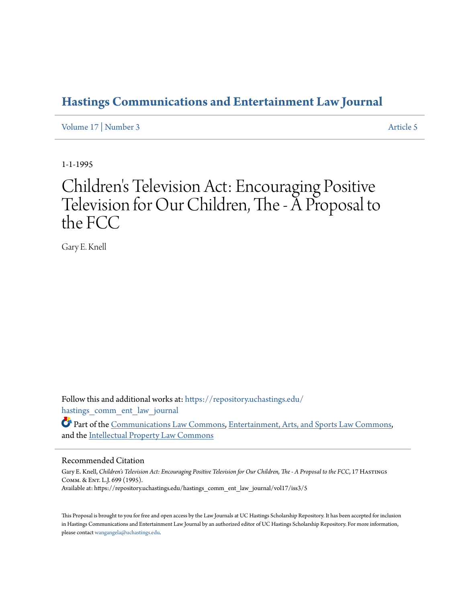# **[Hastings Communications and Entertainment Law Journal](https://repository.uchastings.edu/hastings_comm_ent_law_journal?utm_source=repository.uchastings.edu%2Fhastings_comm_ent_law_journal%2Fvol17%2Fiss3%2F5&utm_medium=PDF&utm_campaign=PDFCoverPages)**

[Volume 17](https://repository.uchastings.edu/hastings_comm_ent_law_journal/vol17?utm_source=repository.uchastings.edu%2Fhastings_comm_ent_law_journal%2Fvol17%2Fiss3%2F5&utm_medium=PDF&utm_campaign=PDFCoverPages) | [Number 3](https://repository.uchastings.edu/hastings_comm_ent_law_journal/vol17/iss3?utm_source=repository.uchastings.edu%2Fhastings_comm_ent_law_journal%2Fvol17%2Fiss3%2F5&utm_medium=PDF&utm_campaign=PDFCoverPages) [Article 5](https://repository.uchastings.edu/hastings_comm_ent_law_journal/vol17/iss3/5?utm_source=repository.uchastings.edu%2Fhastings_comm_ent_law_journal%2Fvol17%2Fiss3%2F5&utm_medium=PDF&utm_campaign=PDFCoverPages)

1-1-1995

# Children 's Television Act: Encouraging Positive Television for Our Children, The - A Proposal to the FCC

Gary E. Knell

Follow this and additional works at: [https://repository.uchastings.edu/](https://repository.uchastings.edu/hastings_comm_ent_law_journal?utm_source=repository.uchastings.edu%2Fhastings_comm_ent_law_journal%2Fvol17%2Fiss3%2F5&utm_medium=PDF&utm_campaign=PDFCoverPages) [hastings\\_comm\\_ent\\_law\\_journal](https://repository.uchastings.edu/hastings_comm_ent_law_journal?utm_source=repository.uchastings.edu%2Fhastings_comm_ent_law_journal%2Fvol17%2Fiss3%2F5&utm_medium=PDF&utm_campaign=PDFCoverPages)

Part of the [Communications Law Commons,](http://network.bepress.com/hgg/discipline/587?utm_source=repository.uchastings.edu%2Fhastings_comm_ent_law_journal%2Fvol17%2Fiss3%2F5&utm_medium=PDF&utm_campaign=PDFCoverPages) [Entertainment, Arts, and Sports Law Commons,](http://network.bepress.com/hgg/discipline/893?utm_source=repository.uchastings.edu%2Fhastings_comm_ent_law_journal%2Fvol17%2Fiss3%2F5&utm_medium=PDF&utm_campaign=PDFCoverPages) and the [Intellectual Property Law Commons](http://network.bepress.com/hgg/discipline/896?utm_source=repository.uchastings.edu%2Fhastings_comm_ent_law_journal%2Fvol17%2Fiss3%2F5&utm_medium=PDF&utm_campaign=PDFCoverPages)

# Recommended Citation

Gary E. Knell, *Children's Television Act: Encouraging Positive Television for Our Children, The - A Proposal to the FCC*, 17 Hastings Comm. & Ent. L.J. 699 (1995). Available at: https://repository.uchastings.edu/hastings\_comm\_ent\_law\_journal/vol17/iss3/5

This Proposal is brought to you for free and open access by the Law Journals at UC Hastings Scholarship Repository. It has been accepted for inclusion in Hastings Communications and Entertainment Law Journal by an authorized editor of UC Hastings Scholarship Repository. For more information, please contact [wangangela@uchastings.edu.](mailto:wangangela@uchastings.edu)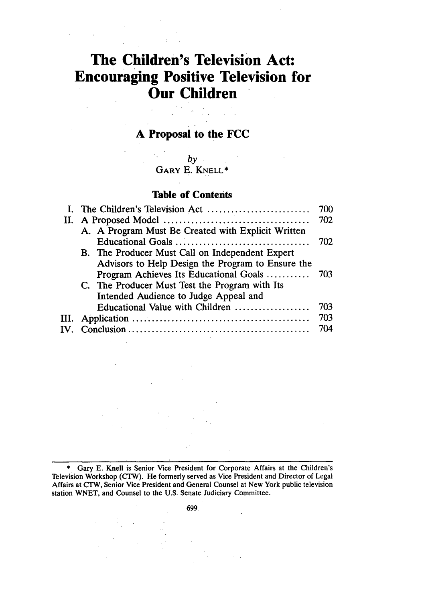# **The Children's Television Act: Encouraging Positive Television for Our Children**

# **A Proposal to the FCC**

**by GARY E. KNELL\***

# **Table of Contents**

| I. The Children's Television Act                   | 700 |
|----------------------------------------------------|-----|
|                                                    | 702 |
| A. A Program Must Be Created with Explicit Written |     |
|                                                    | 702 |
| B. The Producer Must Call on Independent Expert    |     |
| Advisors to Help Design the Program to Ensure the  |     |
| Program Achieves Its Educational Goals             | 703 |
| C. The Producer Must Test the Program with Its     |     |
| Intended Audience to Judge Appeal and              |     |
| Educational Value with Children                    | 703 |
|                                                    | 703 |
|                                                    | 704 |
|                                                    |     |

\* Gary E. Knell is Senior Vice President for Corporate Affairs at the Children's Television Workshop (CTW). He formerly served as Vice President and Director of Legal Affairs at CTW, Senior Vice President and General Counsel at New York public television station WNET, and Counsel to the U.S. Senate Judiciary Committee.

**699,**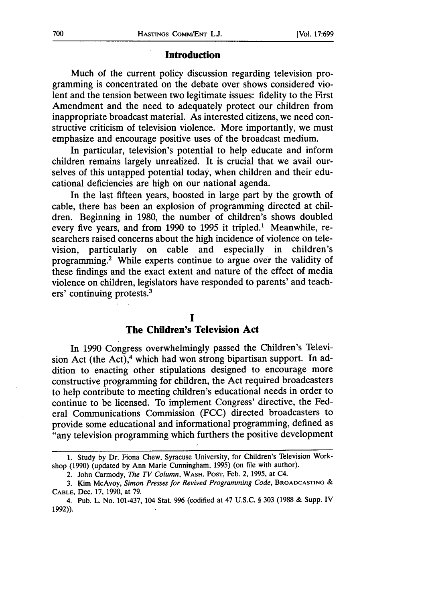#### **Introduction**

Much of the current policy discussion regarding television programming is concentrated on the debate over shows considered violent and the tension between two legitimate issues: fidelity to the First Amendment and the need to adequately protect our children from inappropriate broadcast material. As interested citizens, we need constructive criticism of television violence. More importantly, we must emphasize and encourage positive uses of the broadcast medium.

In particular, television's potential to help educate and inform children remains largely unrealized. It is crucial that we avail ourselves of this untapped potential today, when children and their educational deficiencies are high on our national agenda.

In the last fifteen years, boosted in large part by the growth of cable, there has been an explosion of programming directed at children. Beginning in 1980, the number of children's shows doubled every five years, and from 1990 to 1995 it tripled.' Meanwhile, researchers raised concerns about the high incidence of violence on television, particularly on cable and especially in children's programming.' While experts continue to argue over the validity of these findings and the exact extent and nature of the effect of media violence on children, legislators have responded to parents' and teachers' continuing protests.<sup>3</sup>

# **I**

## **The Children's Television Act**

In 1990 Congress overwhelmingly passed the Children's Television Act (the Act), $4$  which had won strong bipartisan support. In addition to enacting other stipulations designed to encourage more constructive programming for children, the Act required broadcasters to help contribute to meeting children's educational needs in order to continue to be licensed. To implement Congress' directive, the Federal Communications Commission (FCC) directed broadcasters to provide some educational and informational programming, defined as "any television programming which furthers the positive development

<sup>1.</sup> Study by Dr. Fiona Chew, Syracuse University, for Children's Television Workshop (1990) (updated by Ann Marie Cunningham, 1995) (on file with author).

<sup>2.</sup> John Carmody, *The TV Column,* WASH. **POST,** Feb. 2, 1995, at C4.

<sup>3.</sup> Kim McAvoy, *Simon Presses for Revived Programming* Code, **BROADCASTING** & **CABLE,** Dec. 17, 1990, at 79.

<sup>4.</sup> Pub. L. No. 101-437, 104 Stat. 996 (codified at 47 U.S.C. § 303 (1988 & Supp. IV 1992)).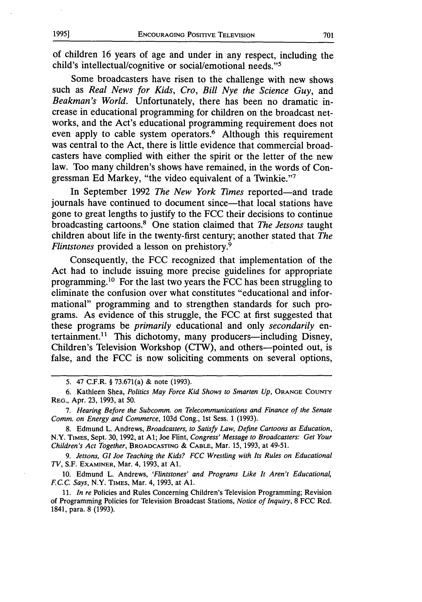of children 16 years of age and under in any respect, including the child's intellectual/cognitive or social/emotional needs."5

Some broadcasters have risen to the challenge with new shows such as *Real News for Kids, Cro, Bill Nye the Science Guy,* and *Beakman's World.* Unfortunately, there has been no dramatic increase in educational programming for children on the broadcast networks, and the Act's educational programming requirement does not even apply to cable system operators.<sup>6</sup> Although this requirement was central to the Act, there is little evidence that commercial broadcasters have complied with either the spirit or the letter of the new law. Too many children's shows have remained, in the words of Congressman **Ed** Markey, "the video equivalent of a Twinkie."7

In September 1992 *The New York Times* reported-and trade journals have continued to document since-that local stations have gone to great lengths to justify to the FCC their decisions to continue broadcasting cartoons.8 One station claimed that *The Jetsons* taught children about life in the twenty-first century; another stated that *The Flintstones* provided a lesson on prehistory.9

Consequently, the FCC recognized that implementation of the Act had to include issuing more precise guidelines for appropriate programming. 10 For the last two years the FCC has been struggling to eliminate the confusion over what constitutes "educational and informational" programming and to strengthen standards for such programs. As evidence of this struggle, the FCC at first suggested that these programs be *primarily* educational and only *secondarily* entertainment.<sup>11</sup> This dichotomy, many producers—including Disney, Children's Television Workshop (CTW), and others---pointed out, is false, and the FCC is now soliciting comments on several options,

*9. Jetsons, GI Joe Teaching the Kids? FCC Wrestling with Its Rules on Educational TV,* S.F. EXAMINER, Mar. 4, 1993, at **Al.**

10. Edmund L. Andrews, *'Flintstones' and Programs Like It Aren't Educational, FC.C. Says,* N.Y. TIMES, Mar. 4, 1993, at **Al.**

11. *In re* Policies and Rules Concerning Children's Television Programming; Revision of Programming Policies for Television Broadcast Stations, *Notice of Inquiry,* 8 FCC Rcd. 1841, para. 8 (1993).

<sup>5. 47</sup> C.F.R. § 73.671(a) & note (1993).

<sup>6.</sup> Kathleen Shea, *Politics May Force Kid Shows to Smarten Up,* **ORANGE COUNTY** REG., Apr. 23, 1993, at 50.

*<sup>7.</sup> Hearing Before the Subcomm. on Telecommunications and Finance of the Senate Comm. on Energy and Commerce,* 103d Cong., 1st Sess. 1 (1993).

<sup>8.</sup> Edmund L. Andrews, *Broadcasters, to Satisfy Law, Define Cartoons as Education,* N.Y. TIMES, Sept. 30,1992, at **Al;** Joe Flint, *Congress' Message to Broadcasters: Get Your Children's Act Together,* **BROADCASTING** & **CABLE,** Mar. 15, 1993, at 49-51.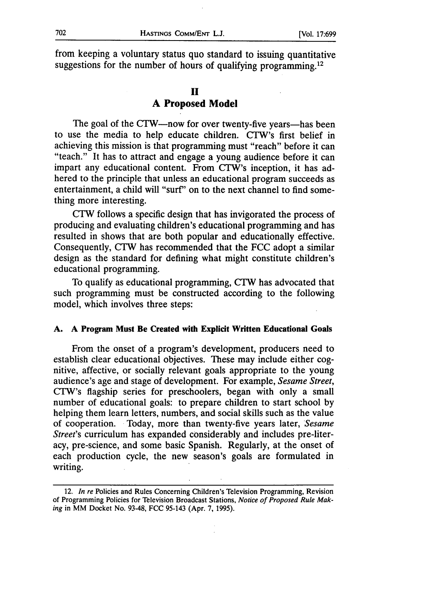from keeping a voluntary status quo standard to issuing quantitative suggestions for the number of hours of qualifying programming.<sup>12</sup>

# **II A Proposed Model**

The goal of the CTW-now for over twenty-five years-has been to use the media to help educate children. CTW's first belief in achieving this mission is that programming must "reach" before it can "teach." It has to attract and engage a young audience before it can impart any educational content. From CTW's inception, it has adhered to the principle that unless an educational program succeeds as entertainment, a child will "surf" on to the next channel to find something more interesting.

CTW follows a specific design that has invigorated the process of producing and evaluating children's educational programming and has resulted in shows that are both popular and educationally effective. Consequently, CTW has recommended that the FCC adopt a similar design as the standard for defining what might constitute children's educational programming.

To qualify as educational programming, CTW has advocated that such programming must be constructed according to the following model, which involves three steps:

#### **A. A Program Must Be Created with Explicit Written Educational Goals**

From the onset of a program's development, producers need to establish clear educational objectives. These may include either cognitive, affective, or socially relevant goals appropriate to the young audience's age and stage of development. For example, *Sesame Street,* CTW's flagship series for preschoolers, began with only a small number of educational goals: to prepare children to start school by helping them learn letters, numbers, and social skills such as the value of cooperation. Today, more than twenty-five years later, *Sesame Street's* curriculum has expanded considerably and includes pre-literacy, pre-science, and some basic Spanish. Regularly, at the onset of each production cycle, the new season's goals are formulated in writing.

<sup>12.</sup> *In re* Policies and Rules Concerning Children's Television Programming, Revision of Programming Policies for Television Broadcast Stations, *Notice of Proposed Rule Making* in MM Docket No. 93-48, FCC 95-143 (Apr. 7, 1995).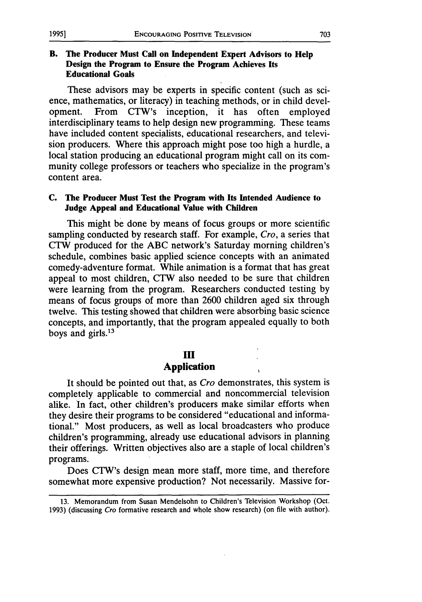# **B. The Producer Must Call on Independent Expert Advisors to Help Design the Program to Ensure the Program Achieves Its Educational Goals**

These advisors may be experts in specific content (such as science, mathematics, or literacy) in teaching methods, or in child development. From CTW's inception, it has often employed interdisciplinary teams to help design new programming. These teams have included content specialists, educational researchers, and television producers. Where this approach might pose too high a hurdle, a local station producing an educational program might call on its community college professors or teachers who specialize in the program's content area.

## **C.** The **Producer** Must Test the Program with Its Intended Audience to **Judge Appeal and Educational Value with Children**

This might be done by means of focus groups or more scientific sampling conducted by research staff. For example, Cro, a series that CTW produced for the ABC network's Saturday morning children's schedule, combines basic applied science concepts with an animated comedy-adventure format. While animation is a format that has great appeal to most children, CTW also needed to be sure that children were learning from the program. Researchers conducted testing by means of focus groups of more than 2600 children aged six through twelve. This testing showed that children were absorbing basic science concepts, and importantly, that the program appealed equally to both boys and girls. $13$ 

#### **III**

# **Application**

It should be pointed out that, as Cro demonstrates, this system is completely applicable to commercial and noncommercial television alike. In fact, other children's producers make similar efforts when they desire their programs to be considered "educational and informational." Most producers, as well as local broadcasters who produce children's programming, already use educational advisors in planning their offerings. Written objectives also are a staple of local children's programs.

Does CTW's design mean more staff, more time, and therefore somewhat more expensive production? Not necessarily. Massive for-

<sup>13.</sup> Memorandum from Susan Mendelsohn to Children's Television Workshop (Oct. 1993) (discussing Cro formative research and whole show research) (on file with author).